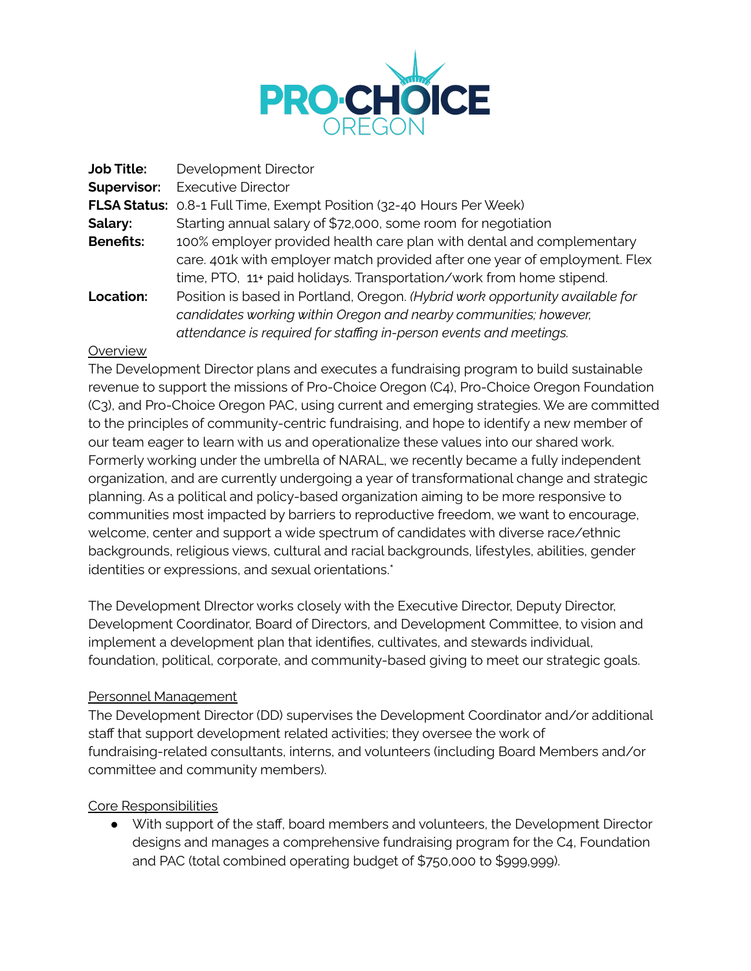

| <b>Job Title:</b>  | Development Director                                                          |
|--------------------|-------------------------------------------------------------------------------|
| <b>Supervisor:</b> | <b>Executive Director</b>                                                     |
|                    | FLSA Status: 0.8-1 Full Time, Exempt Position (32-40 Hours Per Week)          |
| Salary:            | Starting annual salary of \$72,000, some room for negotiation                 |
| <b>Benefits:</b>   | 100% employer provided health care plan with dental and complementary         |
|                    | care. 401k with employer match provided after one year of employment. Flex    |
|                    | time, PTO, 11+ paid holidays. Transportation/work from home stipend.          |
| <b>Location:</b>   | Position is based in Portland, Oregon. (Hybrid work opportunity available for |
|                    | candidates working within Oregon and nearby communities; however,             |
|                    | attendance is required for staffing in-person events and meetings.            |

#### **Overview**

The Development Director plans and executes a fundraising program to build sustainable revenue to support the missions of Pro-Choice Oregon (C4), Pro-Choice Oregon Foundation (C3), and Pro-Choice Oregon PAC, using current and emerging strategies. We are committed to the principles of community-centric fundraising, and hope to identify a new member of our team eager to learn with us and operationalize these values into our shared work. Formerly working under the umbrella of NARAL, we recently became a fully independent organization, and are currently undergoing a year of transformational change and strategic planning. As a political and policy-based organization aiming to be more responsive to communities most impacted by barriers to reproductive freedom, we want to encourage, welcome, center and support a wide spectrum of candidates with diverse race/ethnic backgrounds, religious views, cultural and racial backgrounds, lifestyles, abilities, gender identities or expressions, and sexual orientations.\*

The Development DIrector works closely with the Executive Director, Deputy Director, Development Coordinator, Board of Directors, and Development Committee, to vision and implement a development plan that identifies, cultivates, and stewards individual, foundation, political, corporate, and community-based giving to meet our strategic goals.

### Personnel Management

The Development Director (DD) supervises the Development Coordinator and/or additional staff that support development related activities; they oversee the work of fundraising-related consultants, interns, and volunteers (including Board Members and/or committee and community members).

### Core Responsibilities

● With support of the staff, board members and volunteers, the Development Director designs and manages a comprehensive fundraising program for the C4, Foundation and PAC (total combined operating budget of \$750,000 to \$999,999).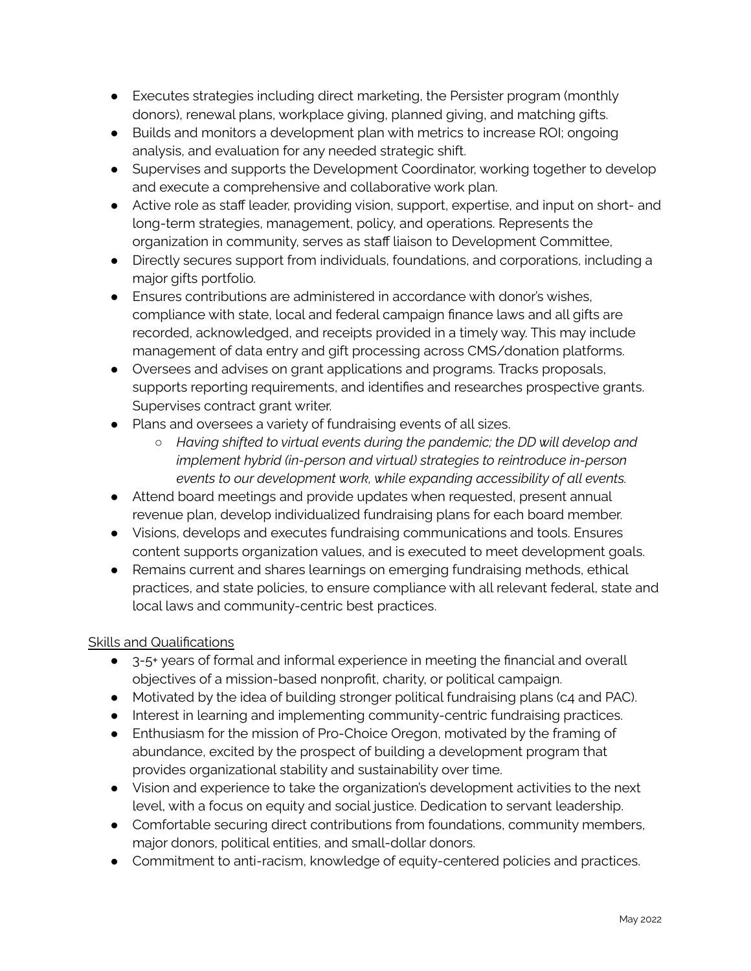- Executes strategies including direct marketing, the Persister program (monthly donors), renewal plans, workplace giving, planned giving, and matching gifts.
- Builds and monitors a development plan with metrics to increase ROI; ongoing analysis, and evaluation for any needed strategic shift.
- Supervises and supports the Development Coordinator, working together to develop and execute a comprehensive and collaborative work plan.
- Active role as staff leader, providing vision, support, expertise, and input on short- and long-term strategies, management, policy, and operations. Represents the organization in community, serves as staff liaison to Development Committee,
- Directly secures support from individuals, foundations, and corporations, including a major gifts portfolio.
- Ensures contributions are administered in accordance with donor's wishes, compliance with state, local and federal campaign finance laws and all gifts are recorded, acknowledged, and receipts provided in a timely way. This may include management of data entry and gift processing across CMS/donation platforms.
- Oversees and advises on grant applications and programs. Tracks proposals, supports reporting requirements, and identifies and researches prospective grants. Supervises contract grant writer.
- Plans and oversees a variety of fundraising events of all sizes.
	- *Having shifted to virtual events during the pandemic; the DD will develop and implement hybrid (in-person and virtual) strategies to reintroduce in-person events to our development work, while expanding accessibility of all events.*
- Attend board meetings and provide updates when requested, present annual revenue plan, develop individualized fundraising plans for each board member.
- Visions, develops and executes fundraising communications and tools. Ensures content supports organization values, and is executed to meet development goals.
- Remains current and shares learnings on emerging fundraising methods, ethical practices, and state policies, to ensure compliance with all relevant federal, state and local laws and community-centric best practices.

# Skills and Qualifications

- 3-5+ years of formal and informal experience in meeting the financial and overall objectives of a mission-based nonprofit, charity, or political campaign.
- Motivated by the idea of building stronger political fundraising plans (c4 and PAC).
- Interest in learning and implementing community-centric fundraising practices.
- Enthusiasm for the mission of Pro-Choice Oregon, motivated by the framing of abundance, excited by the prospect of building a development program that provides organizational stability and sustainability over time.
- Vision and experience to take the organization's development activities to the next level, with a focus on equity and social justice. Dedication to servant leadership.
- Comfortable securing direct contributions from foundations, community members, major donors, political entities, and small-dollar donors.
- Commitment to anti-racism, knowledge of equity-centered policies and practices.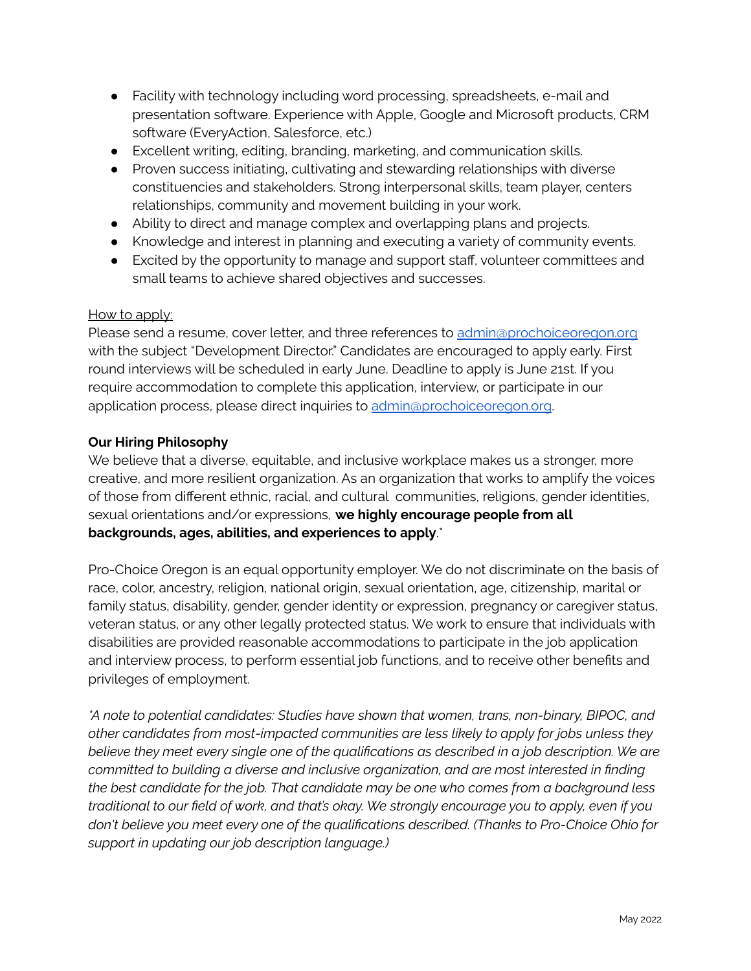- Facility with technology including word processing, spreadsheets, e-mail and presentation software. Experience with Apple, Google and Microsoft products, CRM software (EveryAction, Salesforce, etc.)
- Excellent writing, editing, branding, marketing, and communication skills.
- Proven success initiating, cultivating and stewarding relationships with diverse constituencies and stakeholders. Strong interpersonal skills, team player, centers relationships, community and movement building in your work.
- Ability to direct and manage complex and overlapping plans and projects.
- Knowledge and interest in planning and executing a variety of community events.
- Excited by the opportunity to manage and support staff, volunteer committees and small teams to achieve shared objectives and successes.

### How to apply:

Please send a resume, cover letter, and three references to [admin@prochoiceoregon.org](mailto:admin@prochoiceoregon.org) with the subject "Development Director." Candidates are encouraged to apply early. First round interviews will be scheduled in early June. Deadline to apply is June 21st. If you require accommodation to complete this application, interview, or participate in our application process, please direct inquiries to [admin@prochoiceoregon.org](mailto:admin@prochoiceoregon.org).

## **Our Hiring Philosophy**

We believe that a diverse, equitable, and inclusive workplace makes us a stronger, more creative, and more resilient organization. As an organization that works to amplify the voices of those from different ethnic, racial, and cultural communities, religions, gender identities, sexual orientations and/or expressions, **we highly encourage people from all backgrounds, ages, abilities, and experiences to apply**.\*

Pro-Choice Oregon is an equal opportunity employer. We do not discriminate on the basis of race, color, ancestry, religion, national origin, sexual orientation, age, citizenship, marital or family status, disability, gender, gender identity or expression, pregnancy or caregiver status, veteran status, or any other legally protected status. We work to ensure that individuals with disabilities are provided reasonable accommodations to participate in the job application and interview process, to perform essential job functions, and to receive other benefits and privileges of employment.

*\*A note to potential candidates: Studies have shown that women, trans, non-binary, BIPOC, and other candidates from most-impacted communities are less likely to apply for jobs unless they believe they meet every single one of the qualifications as described in a job description. We are committed to building a diverse and inclusive organization, and are most interested in finding the best candidate for the job. That candidate may be one who comes from a background less traditional to our field of work, and that's okay. We strongly encourage you to apply, even if you don't believe you meet every one of the qualifications described. (Thanks to Pro-Choice Ohio for support in updating our job description language.)*